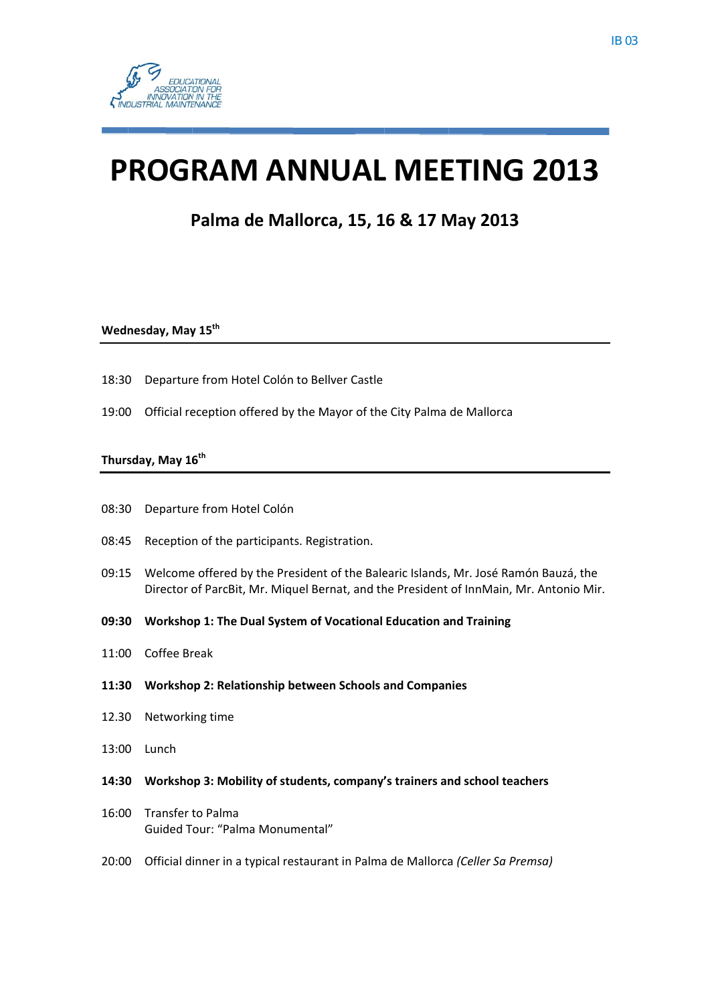# **PROGRAM ANNUAL MEETING 2013**

Palma de Mallorca, 15, 16 & 17 May 2013

## Wednesday, May 15<sup>th</sup>

- 18:30 Departure from Hotel Colón to Bellver Castle
- 19:00 Official reception offered by the Mayor of the City Palma de Mallorca

#### Thursday, May 16<sup>th</sup>

- Departure from Hotel Colón 08:30
- 08:45 Reception of the participants. Registration.
- 09:15 Welcome offered by the President of the Balearic Islands, Mr. José Ramón Bauzá, the Director of ParcBit, Mr. Miquel Bernat, and the President of InnMain, Mr. Antonio Mir.
- 09:30 Workshop 1: The Dual System of Vocational Education and Training
- 11:00 Coffee Break
- 11:30 Workshop 2: Relationship between Schools and Companies
- 12.30 Networking time
- 13:00 Lunch
- 14:30 Workshop 3: Mobility of students, company's trainers and school teachers
- 16:00 Transfer to Palma Guided Tour: "Palma Monumental"
- 20:00 Official dinner in a typical restaurant in Palma de Mallorca (Celler Sa Premsa)